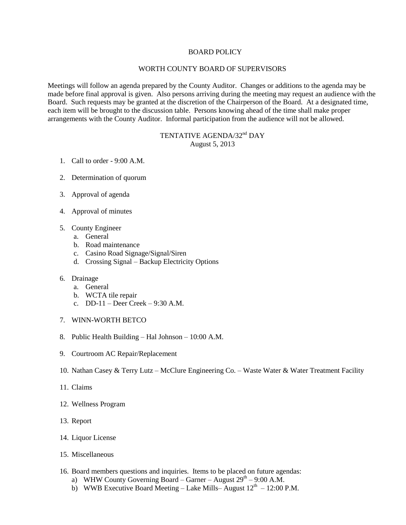## BOARD POLICY

## WORTH COUNTY BOARD OF SUPERVISORS

Meetings will follow an agenda prepared by the County Auditor. Changes or additions to the agenda may be made before final approval is given. Also persons arriving during the meeting may request an audience with the Board. Such requests may be granted at the discretion of the Chairperson of the Board. At a designated time, each item will be brought to the discussion table. Persons knowing ahead of the time shall make proper arrangements with the County Auditor. Informal participation from the audience will not be allowed.

## TENTATIVE AGENDA/32<sup>nd</sup> DAY August 5, 2013

- 1. Call to order 9:00 A.M.
- 2. Determination of quorum
- 3. Approval of agenda
- 4. Approval of minutes
- 5. County Engineer
	- a. General
	- b. Road maintenance
	- c. Casino Road Signage/Signal/Siren
	- d. Crossing Signal Backup Electricity Options
- 6. Drainage
	- a. General
	- b. WCTA tile repair
	- c. DD-11 Deer Creek 9:30 A.M.
- 7. WINN-WORTH BETCO
- 8. Public Health Building Hal Johnson 10:00 A.M.
- 9. Courtroom AC Repair/Replacement
- 10. Nathan Casey & Terry Lutz McClure Engineering Co. Waste Water & Water Treatment Facility
- 11. Claims
- 12. Wellness Program
- 13. Report
- 14. Liquor License
- 15. Miscellaneous
- 16. Board members questions and inquiries. Items to be placed on future agendas:
	- a) WHW County Governing Board Garner August  $29<sup>th</sup> 9:00$  A.M.
	- b) WWB Executive Board Meeting Lake Mills–August  $12<sup>th</sup> 12:00$  P.M.